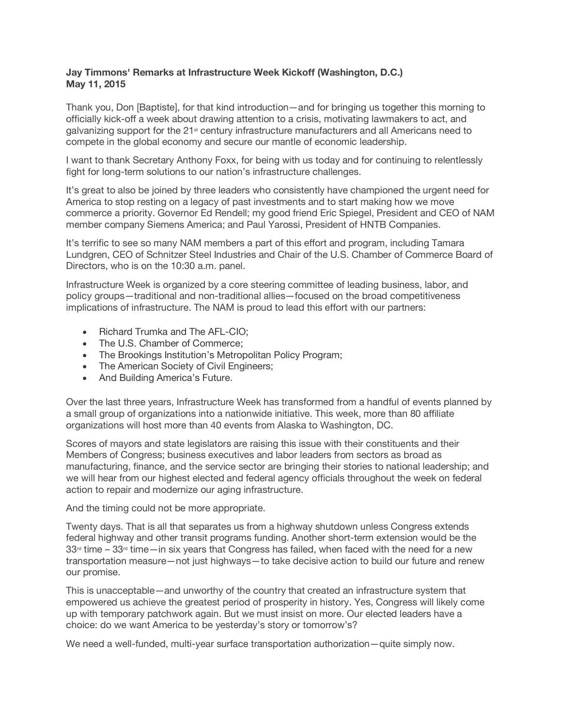## **Jay Timmons' Remarks at Infrastructure Week Kickoff (Washington, D.C.) May 11, 2015**

Thank you, Don [Baptiste], for that kind introduction—and for bringing us together this morning to officially kick-off a week about drawing attention to a crisis, motivating lawmakers to act, and galvanizing support for the 21st century infrastructure manufacturers and all Americans need to compete in the global economy and secure our mantle of economic leadership.

I want to thank Secretary Anthony Foxx, for being with us today and for continuing to relentlessly fight for long-term solutions to our nation's infrastructure challenges.

It's great to also be joined by three leaders who consistently have championed the urgent need for America to stop resting on a legacy of past investments and to start making how we move commerce a priority. Governor Ed Rendell; my good friend Eric Spiegel, President and CEO of NAM member company Siemens America; and Paul Yarossi, President of HNTB Companies.

It's terrific to see so many NAM members a part of this effort and program, including Tamara Lundgren, CEO of Schnitzer Steel Industries and Chair of the U.S. Chamber of Commerce Board of Directors, who is on the 10:30 a.m. panel.

Infrastructure Week is organized by a core steering committee of leading business, labor, and policy groups—traditional and non-traditional allies—focused on the broad competitiveness implications of infrastructure. The NAM is proud to lead this effort with our partners:

- Richard Trumka and The AFL-CIO;
- The U.S. Chamber of Commerce;
- The Brookings Institution's Metropolitan Policy Program;
- The American Society of Civil Engineers;
- And Building America's Future.

Over the last three years, Infrastructure Week has transformed from a handful of events planned by a small group of organizations into a nationwide initiative. This week, more than 80 affiliate organizations will host more than 40 events from Alaska to Washington, DC.

Scores of mayors and state legislators are raising this issue with their constituents and their Members of Congress; business executives and labor leaders from sectors as broad as manufacturing, finance, and the service sector are bringing their stories to national leadership; and we will hear from our highest elected and federal agency officials throughout the week on federal action to repair and modernize our aging infrastructure.

And the timing could not be more appropriate.

Twenty days. That is all that separates us from a highway shutdown unless Congress extends federal highway and other transit programs funding. Another short-term extension would be the  $33<sup>d</sup>$  time –  $33<sup>d</sup>$  time—in six years that Congress has failed, when faced with the need for a new transportation measure—not just highways—to take decisive action to build our future and renew our promise.

This is unacceptable—and unworthy of the country that created an infrastructure system that empowered us achieve the greatest period of prosperity in history. Yes, Congress will likely come up with temporary patchwork again. But we must insist on more. Our elected leaders have a choice: do we want America to be yesterday's story or tomorrow's?

We need a well-funded, multi-year surface transportation authorization—quite simply now.